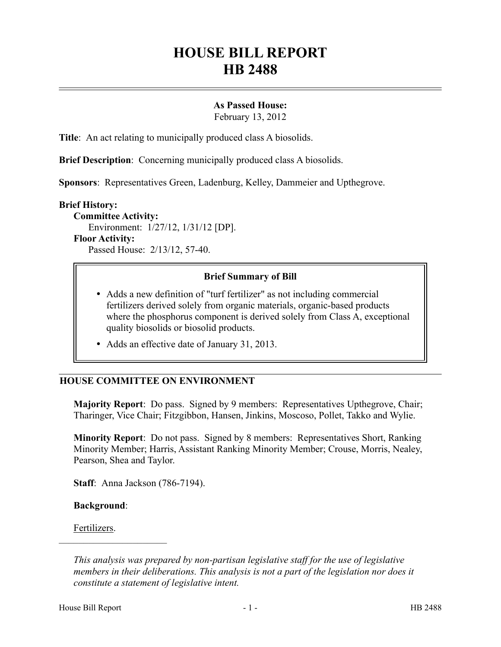# **HOUSE BILL REPORT HB 2488**

## **As Passed House:**

February 13, 2012

**Title**: An act relating to municipally produced class A biosolids.

**Brief Description**: Concerning municipally produced class A biosolids.

**Sponsors**: Representatives Green, Ladenburg, Kelley, Dammeier and Upthegrove.

#### **Brief History:**

**Committee Activity:** Environment: 1/27/12, 1/31/12 [DP]. **Floor Activity:** Passed House: 2/13/12, 57-40.

## **Brief Summary of Bill**

- Adds a new definition of "turf fertilizer" as not including commercial fertilizers derived solely from organic materials, organic-based products where the phosphorus component is derived solely from Class A, exceptional quality biosolids or biosolid products.
- Adds an effective date of January 31, 2013.

## **HOUSE COMMITTEE ON ENVIRONMENT**

**Majority Report**: Do pass. Signed by 9 members: Representatives Upthegrove, Chair; Tharinger, Vice Chair; Fitzgibbon, Hansen, Jinkins, Moscoso, Pollet, Takko and Wylie.

**Minority Report**: Do not pass. Signed by 8 members: Representatives Short, Ranking Minority Member; Harris, Assistant Ranking Minority Member; Crouse, Morris, Nealey, Pearson, Shea and Taylor.

**Staff**: Anna Jackson (786-7194).

**Background**:

––––––––––––––––––––––

Fertilizers.

*This analysis was prepared by non-partisan legislative staff for the use of legislative members in their deliberations. This analysis is not a part of the legislation nor does it constitute a statement of legislative intent.*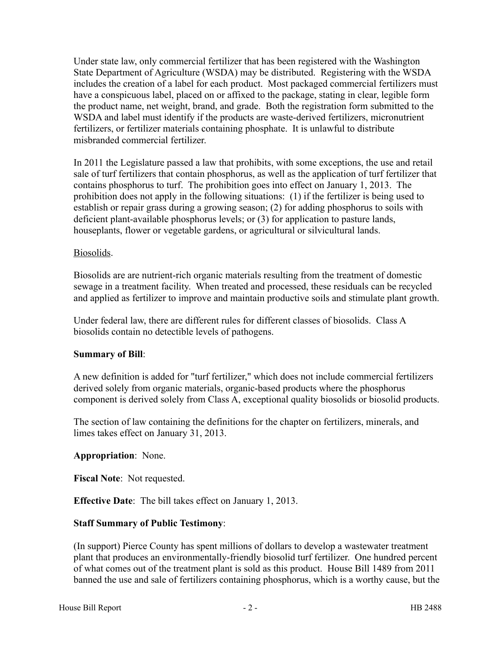Under state law, only commercial fertilizer that has been registered with the Washington State Department of Agriculture (WSDA) may be distributed. Registering with the WSDA includes the creation of a label for each product. Most packaged commercial fertilizers must have a conspicuous label, placed on or affixed to the package, stating in clear, legible form the product name, net weight, brand, and grade. Both the registration form submitted to the WSDA and label must identify if the products are waste-derived fertilizers, micronutrient fertilizers, or fertilizer materials containing phosphate. It is unlawful to distribute misbranded commercial fertilizer.

In 2011 the Legislature passed a law that prohibits, with some exceptions, the use and retail sale of turf fertilizers that contain phosphorus, as well as the application of turf fertilizer that contains phosphorus to turf. The prohibition goes into effect on January 1, 2013. The prohibition does not apply in the following situations: (1) if the fertilizer is being used to establish or repair grass during a growing season; (2) for adding phosphorus to soils with deficient plant-available phosphorus levels; or (3) for application to pasture lands, houseplants, flower or vegetable gardens, or agricultural or silvicultural lands.

#### Biosolids.

Biosolids are are nutrient-rich organic materials resulting from the treatment of domestic sewage in a treatment facility. When treated and processed, these residuals can be recycled and applied as fertilizer to improve and maintain productive soils and stimulate plant growth.

Under federal law, there are different rules for different classes of biosolids. Class A biosolids contain no detectible levels of pathogens.

#### **Summary of Bill**:

A new definition is added for "turf fertilizer," which does not include commercial fertilizers derived solely from organic materials, organic-based products where the phosphorus component is derived solely from Class A, exceptional quality biosolids or biosolid products.

The section of law containing the definitions for the chapter on fertilizers, minerals, and limes takes effect on January 31, 2013.

## **Appropriation**: None.

**Fiscal Note**: Not requested.

**Effective Date**: The bill takes effect on January 1, 2013.

## **Staff Summary of Public Testimony**:

(In support) Pierce County has spent millions of dollars to develop a wastewater treatment plant that produces an environmentally-friendly biosolid turf fertilizer. One hundred percent of what comes out of the treatment plant is sold as this product. House Bill 1489 from 2011 banned the use and sale of fertilizers containing phosphorus, which is a worthy cause, but the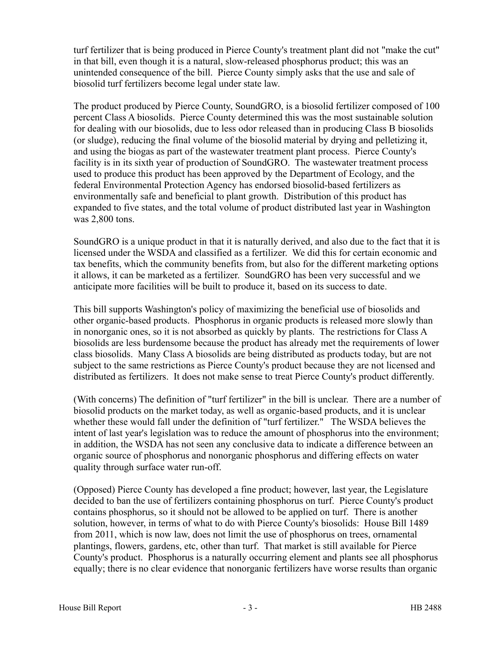turf fertilizer that is being produced in Pierce County's treatment plant did not "make the cut" in that bill, even though it is a natural, slow-released phosphorus product; this was an unintended consequence of the bill. Pierce County simply asks that the use and sale of biosolid turf fertilizers become legal under state law.

The product produced by Pierce County, SoundGRO, is a biosolid fertilizer composed of 100 percent Class A biosolids. Pierce County determined this was the most sustainable solution for dealing with our biosolids, due to less odor released than in producing Class B biosolids (or sludge), reducing the final volume of the biosolid material by drying and pelletizing it, and using the biogas as part of the wastewater treatment plant process. Pierce County's facility is in its sixth year of production of SoundGRO. The wastewater treatment process used to produce this product has been approved by the Department of Ecology, and the federal Environmental Protection Agency has endorsed biosolid-based fertilizers as environmentally safe and beneficial to plant growth. Distribution of this product has expanded to five states, and the total volume of product distributed last year in Washington was 2,800 tons.

SoundGRO is a unique product in that it is naturally derived, and also due to the fact that it is licensed under the WSDA and classified as a fertilizer. We did this for certain economic and tax benefits, which the community benefits from, but also for the different marketing options it allows, it can be marketed as a fertilizer. SoundGRO has been very successful and we anticipate more facilities will be built to produce it, based on its success to date.

This bill supports Washington's policy of maximizing the beneficial use of biosolids and other organic-based products. Phosphorus in organic products is released more slowly than in nonorganic ones, so it is not absorbed as quickly by plants. The restrictions for Class A biosolids are less burdensome because the product has already met the requirements of lower class biosolids. Many Class A biosolids are being distributed as products today, but are not subject to the same restrictions as Pierce County's product because they are not licensed and distributed as fertilizers. It does not make sense to treat Pierce County's product differently.

(With concerns) The definition of "turf fertilizer" in the bill is unclear. There are a number of biosolid products on the market today, as well as organic-based products, and it is unclear whether these would fall under the definition of "turf fertilizer." The WSDA believes the intent of last year's legislation was to reduce the amount of phosphorus into the environment; in addition, the WSDA has not seen any conclusive data to indicate a difference between an organic source of phosphorus and nonorganic phosphorus and differing effects on water quality through surface water run-off.

(Opposed) Pierce County has developed a fine product; however, last year, the Legislature decided to ban the use of fertilizers containing phosphorus on turf. Pierce County's product contains phosphorus, so it should not be allowed to be applied on turf. There is another solution, however, in terms of what to do with Pierce County's biosolids: House Bill 1489 from 2011, which is now law, does not limit the use of phosphorus on trees, ornamental plantings, flowers, gardens, etc, other than turf. That market is still available for Pierce County's product. Phosphorus is a naturally occurring element and plants see all phosphorus equally; there is no clear evidence that nonorganic fertilizers have worse results than organic